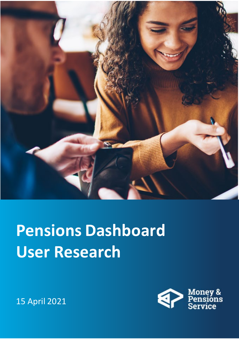

## **Pensions Dashboard User Research**



15 April 2021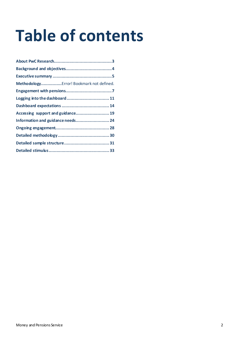# **Table of contents**

| MethodologyError! Bookmark not defined. |
|-----------------------------------------|
|                                         |
| Logging into the dashboard 11           |
|                                         |
| Accessing support and guidance 19       |
| Information and guidance needs 24       |
|                                         |
|                                         |
|                                         |
|                                         |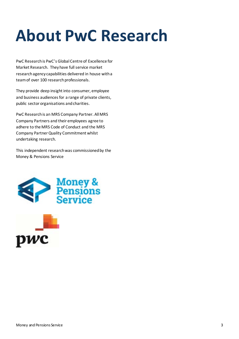## <span id="page-2-0"></span>**About PwC Research**

PwC Research is PwC's Global Centre of Excellence for Market Research. Theyhave full service market research agency capabilities delivered in house with a team of over 100 research professionals.

They provide deep insight into consumer, employee and business audiences for a range of private clients, public sector organisations and charities.

PwC Research is an MRS Company Partner. All MRS Company Partners and their employees agree to adhere to the MRS Code of Conduct and the MRS Company Partner Quality Commitment whilst undertaking research.

This independent research was commissioned by the Money & Pensions Service



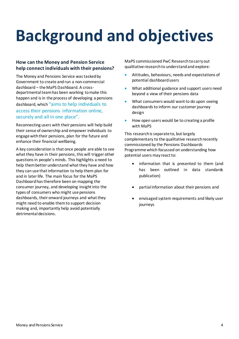# <span id="page-3-0"></span>**Background and objectives**

### **How can the Money and Pension Service help connect individuals with their pensions?**

The Money and Pensions Service was tasked by Government to create and run a non-commercial dashboard – the MaPS Dashboard. A crossdepartmental team has been working to make this happen and is in the process of developing a pensions dashboard, which "aims to help individuals to access their pensions information online, securely and all in one place".

Reconnecting users with their pensions will help build their sense of ownership and empower individuals to engage with their pensions, plan for the future and enhance their financial wellbeing.

A key consideration is that once people are able to see what they have in their pensions, this will trigger other questions in people's minds. This highlights a need to help them better understand what they have and how they can use that information to help them plan for and in later life. The main focus for the MaPS Dashboard has therefore been on mapping the consumer journey, and developing insight into the types of consumers who might use pensions dashboards, their onward journeys and what they might need to enable them to support decision making and, importantly help avoid potentially detrimental decisions.

MaPS commissioned PwC Research to carry out qualitative research to understand and explore:

- Attitudes, behaviours, needs and expectations of potential dashboard users
- What additional guidance and support users need beyond a view of their pensions data
- What consumers would want to do upon seeing dashboards to inform our customer journey design
- How open users would be to creating a profile with MaPS

This research is separate to, but largely complementary to the qualitative research recently commissioned by the Pensions Dashboards Programme which focussed on understanding how potential users may react to:

- information that is presented to them (and has been outlined in data standards publication)
- partial information about their pensions and
- envisaged system requirements and likely user journeys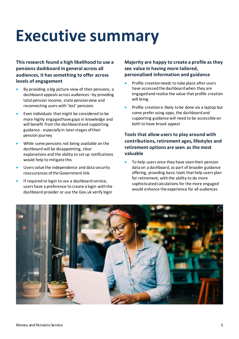## <span id="page-4-0"></span>**Executive summary**

**This research found a high likelihood to use a pensions dashboard in general across all audiences, it has something to offer across levels of engagement**

- By providing a big picture view of their pensions, a dashboard appeals across audiences –by providing total pension income, state pension view and reconnecting users with 'lost' pensions
- Even individuals that might be considered to be more highly engaged have gaps in knowledge and will benefit from the dashboard and supporting guidance - especially in later stages of their pension journey
- While some pensions not being available on the dashboard will be disappointing, clear explanations and the ability to set up notifications would help to mitigate this
- Users value the independence and data security reassurances of the Government link.
- If required to login to use a dashboard service, users have a preference to create a login with the dashboard provider or use the Gov.uk verify login

**Majority are happy to create a profile as they see value in having more tailored, personalised information and guidance**

- Profile creation needs to take place after users have accessed the dashboard when they are engaged and realise the value that profile creation will bring
- Profile creation is likely to be done via a laptop but some prefer using apps, the dashboard and supporting guidance will need to be accessible on both to have broad appeal

### **Tools that allow users to play around with contributions, retirement ages, lifestyles and retirement options are seen as the most valuable**

To help users once they have seen their pension data on a dashboard, as part of broader guidance offering, providing basic tools that help users plan for retirement, with the ability to do more sophisticated calculations for the more engaged would enhance the experience for all audiences

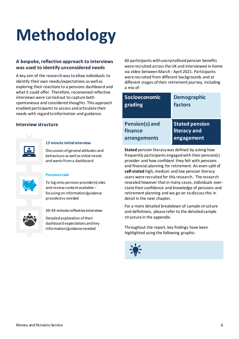# **Methodology**

### **A bespoke, reflective approach to interviews was used to identify unconsidered needs**

A key aim of the research was to allow individuals to identify their own needs/expectations as well as exploring their reactions to a pensions dashboard and what it could offer. Therefore, reconvened reflective interviews were carried out to capture both spontaneous and considered thoughts. This approach enabled participants to access and articulate their needs with regard to information and guidance.

### **Interview structure**



### **15 minute initial interview**

Discussion of general attitudes and behaviours as well as initial needs and wants from a dashboard

| o |  |
|---|--|
|   |  |

### **Pensions task**

To log onto pension provider(s) sites and review content available – focusing on information/guidance provided vs needed



**30-45 minute reflective interview**

Detailed exploration of their dashboard expectations and key information/guidance needed

60 participants with uncrystallised pension benefits were recruited across the UK and interviewed in-home via video between March - April 2021. Participants were recruited from different backgrounds and at different stages of their retirement journey, including a mix of:

| <b>Socioeconomic</b> | <b>Demographic</b>    |
|----------------------|-----------------------|
| grading              | factors               |
| Pension(s) and       | <b>Stated pension</b> |
| finance              | literacy and          |
| arrangements         | engagement            |

**Stated** pension literacy was defined by asking how frequently participants engaged with their pension(s) provider and how confident they felt with pensions and financial planning for retirement. An even split of **self-stated** high, medium and low pension literacy users were recruited for this research. The research revealed however that in many cases, individuals overstate their confidence and knowledge of pensions and retirement planning and we go on to discuss this in detail in the next chapter.

For a more detailed breakdown of sample structure and definitions, please refer to the detailed sample structure in the appendix.

Throughout the report, key findings have been highlighted using the following graphic:

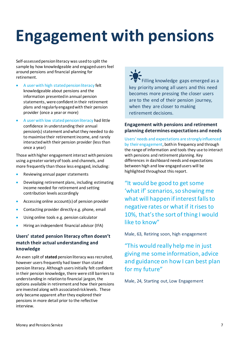## <span id="page-6-0"></span>**Engagement with pensions**

Self-assessed pension literacy was used to split the sample by how knowledgeable and engaged users feel around pensions and financial planning for retirement.

- A user with high stated pension literacy felt knowledgeable about pensions and the information presented in annual pension statements, were confident in their retirement plans and regularly engaged with their pension provider (once a year or more)
- A user with low stated pension literacy had little confidence in understanding their annual pension(s) statement and what they needed to do to maximise their retirement income, and rarely interacted with their pension provider (less than once a year)

Those with higher engagement interact with pensions using a greater variety of tools and channels, and more frequently than those less engaged, including:

- Reviewing annual paper statements
- Developing retirement plans, including estimating income needed for retirement and setting contribution levels accordingly
- Accessing online account(s) of pension provider
- Contacting provider directly e.g. phone, email
- Using online tools e.g. pension calculator
- Hiring an independent financial advisor (IFA)

### **Users' stated pension literacy often doesn't match their actual understanding and knowledge**

An even split of **stated** pension literacy was recruited, however users frequently had lower than stated pension literacy. Although users initially felt confident in their pension knowledge, there were still barriers to understanding in relation to financial jargon, the options available in retirement and how their pensions are invested along with associated risk levels. These only became apparent after they explored their pensions in more detail prior to the reflective interview.

Filling knowledge gaps emerged as a key priority among all users and this need becomes more pressing the closer users are to the end of their pension journey, when they are closer to making retirement decisions.

### **Engagement with pensions and retirement planning determines expectations and needs**

Users' needs and expectations are strongly influenced by their engagement, both in frequency and through the range of information and tools they use to interact with pensions and retirement planning. Key differences in dashboard needs and expectations between high and low engaged users will be highlighted throughout this report.

"It would be good to get some 'what if' scenarios, so showing me what will happen if interest falls to negative rates or what if it rises to 10%, that's the sort of thing I would like to know"

Male, 63, Retiring soon, high engagement

"This would really help me in just giving me some information, advice and guidance on how I can best plan for my future"

Male, 24, Starting out, Low Engagement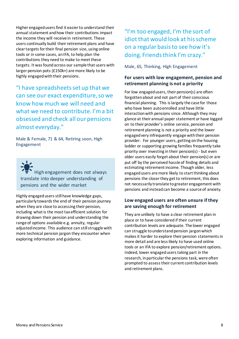Higher engaged users find it easier to understand their annual statement and how their contributions impact the income they will receive in retirement. These users continually build their retirement plans and have clear targets for their final pension size, using online tools or in some cases, an IFA, to help plan the contributions they need to make to meet these targets. It was found across our sample that users with larger pension pots (£150k+) are more likely to be highly engaged with their pensions.

"I have spreadsheets set up that we can see our exact expenditure, so we know how much we will need and what we need to contribute. I'm a bit obsessed and check all our pensions almost everyday."

Male & Female, 71 & 64, Retiring soon, High Engagement

High engagement does not always translate into deeper understanding of pensions and the wider market

Highly engaged users still have knowledge gaps, particularly towards the end of their pension journey when they are close to accessing their pension, including what is the most tax efficient solution for drawing down their pension and understanding the range of options available e.g. annuity, regular adjusted income. This audience can still struggle with more technical pension jargon they encounter when exploring information and guidance.

## "I'm too engaged, I'm the sort of idiot that would look at his scheme on a regular basis to see how it's doing. Friends think I'm crazy."

Male, 65, Thinking, High Engagement

### **For users with low engagement, pension and retirement planning is not a priority**

For low engaged users, their pension(s) are often forgotten about and not part of their conscious financial planning. This is largely the case for those who have been auto enrolled and have little interaction with pensions since. Although they may glance at their annual paper statement or have logged on to their provider's online service, pension and retirement planning is not a priority and the lower engaged very infrequently engage with their pension provider. For younger users, getting on the housing ladder or supporting growing families frequently take priority over investing in their pension(s) - but even older users easily forget about their pension(s) or are put off by the perceived hassle of finding details and estimating retirement income. Though older, less engaged users are more likely to start thinking about pensions the closer they get to retirement, this does not necessarily translate to greater engagement with pensions and instead can become a source of anxiety.

### **Low engaged users are often unsure if they are saving enough for retirement**

They are unlikely to have a clear retirement plan in place or to have considered if their current contribution levels are adequate. The lower engaged can struggle to understand pension jargon which makes it harder to explore their pension statements in more detail and are less likely to have used online tools or an IFA to explore pension/retirement options. Indeed, lower engaged users taking part in the research, in particular the pensions task, were often prompted to assess their current contribution levels and retirement plans.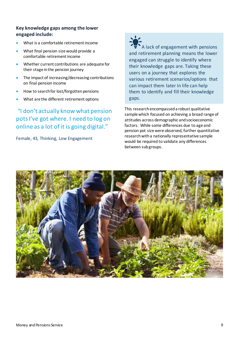### **Key knowledge gaps among the lower engaged include:**

- What is a comfortable retirement income
- What final pension size would provide a comfortable retirement income
- Whether current contributions are adequate for their stage in the pension journey
- The impact of increasing/decreasing contributions on final pension income
- How to search for lost/forgotten pensions
- What are the different retirement options

## "I don't actually know what pension pots I've got where. I need to log on online as a lot of it is going digital."

Female, 43, Thinking, Low Engagement

A lack of engagement with pensions and retirement planning means the lower engaged can struggle to identify where their knowledge gaps are. Taking these users on a journey that explores the various retirement scenarios/options that can impact them later in life can help them to identify and fill their knowledge gaps.

This research encompassed a robust qualitative sample which focused on achieving a broad range of attitudes across demographic and socioeconomic factors. While some differences due to age and pension pot size were observed, further quantitative research with a nationally representative sample would be required to validate any differences between sub groups.

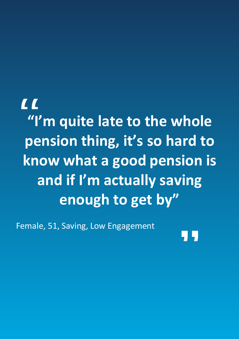**There is a strong chance the higher engaged "I'm quite late to the whole** Those who are highly engaged with the second with the second with the second with the second with the second w likely to be visiting their provider website and using pension thing, it's so hard to experience has been positive e.g. simple to navigate, useful tools and limited cross-selling, there is a strong **know what a good pension is** would not consider the Money Helper dashboard at all, and at all, and at all, and at all, and at all, and at a as the reassurance of data security, validity and **and if I'm actually saving enough to get by"** "

Female, 51, Saving, Low Engagement

"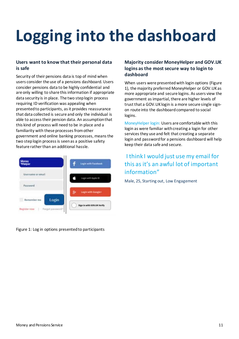# **Logging into the dashboard**

### **Users want to know that their personal data is safe**

Security of their pensions data is top of mind when users consider the use of a pensions dashboard. Users consider pensions data to be highly confidential and are only willing to share this information if appropriate data security is in place. The two step login process requiring ID verification was appealing when presented to participants, as it provides reassurance that data collected is secure and only the individual is able to access their pension data. An assumption that this kind of process will need to be in place and a familiarity with these processes from other government and online banking processes, means the two step login process is seen as a positive safety feature rather than an additional hassle.



Figure 1: Log in options presented to participants

### **Majority consider MoneyHelper and GOV.UK logins as the most secure way to login to dashboard**

When users were presented with login options (Figure 1), the majority preferred MoneyHelper or GOV.UKas more appropriate and secure logins. As users view the government as impartial, there are higher levels of trust that a GOV.UK login is a more secure single signon route into the dashboard compared to social logins.

MoneyHelper login: Users are comfortable with this login as were familiar with creating a login for other services they use and felt that creating a separate login and password for a pensions dashboard will help keep their data safe and secure.

## I think I would just use my email for this as it's an awful lot of important information"

Male, 25, Starting out, Low Engagement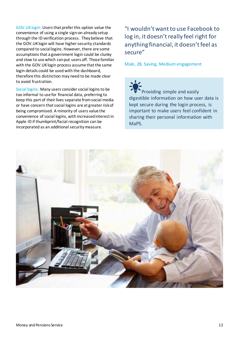GOV.UK login: Users that prefer this option value the convenience of using a single sign-on already setup through the ID verification process. Theybelieve that the GOV.UK login will have higher security standards compared to social logins. However, there are some assumptions that a government login could be clunky and slow to use which can put users off. Those familiar with the GOV.UK login process assume that the same login details could be used with the dashboard, therefore this distinction may need to be made clear to avoid frustration.

Social logins: Many users consider social logins to be too informal to use for financial data, preferring to keep this part of their lives separate from social media or have concern that social logins are at greater risk of being compromised. A minority of users value the convenience of social logins, with increased interest in Apple ID if thumbprint/facial recognition can be incorporated as an additional security measure.

## "I wouldn't want to use Facebook to log in, it doesn't really feel right for anything financial, it doesn't feel as secure"

Male, 28, Saving, Medium engagement

Providing simple and easily digestible information on how user data is kept secure during the login process, is important to make users feel confident in sharing their personal information with MaPS.

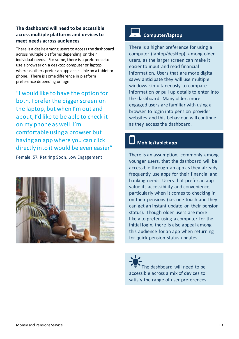### **The dashboard will need to be accessible across multiple platforms and devices to meet needs across audiences**

There is a desire among users to access the dashboard across multiple platforms depending on their individual needs. For some, there is a preference to use a browser on a desktop computer or laptop, whereas others prefer an app accessible on a tablet or phone. There is some difference in platform preference depending on age.

"I would like to have the option for both. I prefer the bigger screen on the laptop, but when I'm out and about, I'd like to be able to check it on my phone as well. I'm comfortable using a browser but having an app where you can click directly into it would be even easier"

Female, 57, Retiring Soon, Low Engagement



## **Computer/laptop**

There is a higher preference for using a computer (laptop/desktop) among older users, as the larger screen can make it easier to input and read financial information. Users that are more digital savvy anticipate they will use multiple windows simultaneously to compare information or pull up details to enter into the dashboard. Many older, more engaged users are familiar with using a browser to login into pension provider websites and this behaviour will continue as they access the dashboard.

## **Mobile/tablet app**

There is an assumption, commonly among younger users, that the dashboard will be accessible through an app as they already frequently use apps for their financial and banking needs. Users that prefer an app value its accessibility and convenience, particularly when it comes to checking in on their pensions (i.e. one touch and they can get an instant update on their pension status). Though older users are more likely to prefer using a computer for the initial login, there is also appeal among this audience for an app when returning for quick pension status updates.

he dashboard will need to be accessible across a mix of devices to satisfy the range of user preferences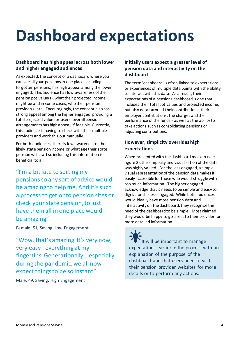## <span id="page-13-0"></span>**Dashboard expectations**

### **Dashboard has high appeal across both lower and higher engaged audiences**

As expected, the concept of a dashboard where you can see all your pensions in one place, including forgotten pensions, has high appeal among the lower engaged. This audience has low awareness of their pension pot value(s), what their projected income might be and in some cases, who their pension provider(s) are. Encouragingly, the concept also has strong appeal among the higher engaged; providing a total projected value for users' overall pension arrangements has high appeal, if feasible. Currently, this audience is having to check with their multiple providers and work this out manually.

For both audiences, there is low awareness of their likely state pension income or what age their state pension will start so including this information is beneficial to all.

"I'm a bit late to sorting my pensions so any sort of advice would be amazing to help me. And it's such a process to get onto pension sites or check your state pension, to just have them all in one place would be amazing"

Female, 51, Saving, Low Engagement

"Wow, that's amazing. It's very now, very easy - everything at my fingertips. Generationally... especially during the pandemic, we all now expect things to be so instant"

Male, 49, Saving, High Engagement

### **Initially users expect a greater level of pension data and interactivity on the dashboard**

The term 'dashboard' is often linked to expectations or experiences of multiple data points with the ability to interact with this data. As a result, their expectations of a pensions dashboard is one that includes their total pot values and projected income, but also detail around their contributions, their employer contributions, the charges and the performance of the funds - as well as the ability to take actions such as consolidating pensions or adjusting contributions.

### **However, simplicity overrides high expectations**

When presented with the dashboard mockup (see figure 2), the simplicity and visualisation of the data was highly valued. For the less engaged, a simple visual representation of the pension data makes it easily accessible for those who would struggle with too much information. The higher engaged acknowledge that it needs to be simple and easy to digest for the less engaged. While both audiences would ideally have more pension data and interactivity on the dashboard, they recognise the need of the dashboard to be simple. Most claimed they would be happy to go direct to their provider for more detailed information.

It will be important to manage expectations earlier in the process with an explanation of the purpose of the dashboard and that users need to visit their pension provider websites for more details or to perform any actions.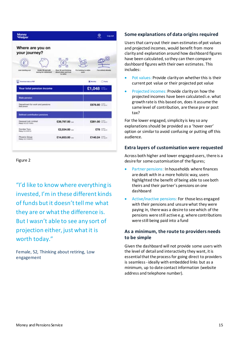| Money<br><b>Widelper</b>                                                            |                                                              | <b>Log out</b>                                                      |
|-------------------------------------------------------------------------------------|--------------------------------------------------------------|---------------------------------------------------------------------|
| Where are you on<br>your journey?                                                   |                                                              |                                                                     |
| Under 30 and unit<br>Just starting out<br>assing for relinement                     | ◘<br>Over 50 and thirding<br>about when and how<br>to notice | T'en illustrating fas rechire<br><b>Fue selectd obtain</b><br>bond: |
| п<br><b>Rowman sale or PSF</b><br>Your total pension income                         |                                                              | <b>Citario</b><br><b>Window</b><br>$E1,048 = -$                     |
| <b>State perceion</b>                                                               |                                                              |                                                                     |
| Department for work and pensions<br>State privates<br>Defined contribution pensions |                                                              | £676.80                                                             |
| Geopost (uk) Limited<br>Police AVENTILISTS.                                         | $$29,797.00$                                                 | \$281.00                                                            |
| Dundee Toys<br><b>Police FLUIDATES</b>                                              | $E2.534.00 -$                                                | $$78$ $--$                                                          |
| Phoenix Group<br><b>Public Art Internet</b>                                         | $£14,653.00$                                                 | $$140.24$ $\frac{1}{24}$                                            |
|                                                                                     |                                                              |                                                                     |

Figure 2

"I'd like to know where everything is invested, I'm in these different kinds of funds but it doesn't tell me what they are or what the difference is. But I wasn't able to see any sort of projection either, just what it is worth today."

Female, 52, Thinking about retiring, Low engagement

### **Some explanations of data origins required**

Users that carry out their own estimates of pot values and projected incomes, would benefit from more clarity and explanation around how dashboard figures have been calculated, so they can then compare dashboard figures with their own estimates. This includes:

- Pot values: Provide clarity on whether this is their current pot value or their projected pot value
- Projected incomes: Provide clarity on how the projected incomes have been calculated i.e. what growth rate is this based on, does it assume the same level of contribution, are these pre or post tax?

For the lower engaged, simplicity is key so any explanations should be provided as a 'hover over' option or similar to avoid confusing or putting off this audience.

### **Extra layers of customisation were requested**

Across both higher and lower engaged users, there is a desire for some customisation of the figures;

- Partner pensions: In households where finances are dealt with in a more holistic way, users highlighted the benefit of being able to see both theirs and their partner's pensions on one dashboard
- Active/inactive pensions: For those less engaged with their pensions and unsure what they were paying in, there was a desire to see which of the pensions were still active e.g. where contributions were still being paid into a fund

### **As a minimum, the route to providers needs to be simple**

Given the dashboard will not provide some users with the level of detail and interactivity they want, it is essential that the process for going direct to providers is seamless - ideally with embedded links but as a minimum, up to date contact information (website address and telephone number).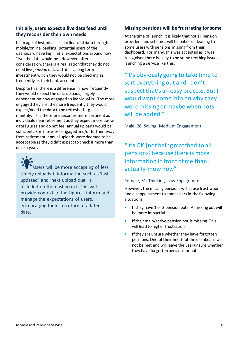### **Initially, users expect a live data feed until they reconsider their own needs**

In an age of instant access to financial data through mobile/online banking, potential users of the dashboard have high initial expectations around how 'live' the data would be. However, after consideration, there is a realisation that they do not need live *pension* data as this is a long term investment which they would not be checking as frequently as their bank account.

Despite this, there is a difference in how frequently they would expect the data uploads, largely dependent on how engaged an individual is. The more engaged they are, the more frequently they would expect/need the data to be refreshede.g. monthly. This therefore becomes more pertinent as individuals near retirement as they expect more up-todate figures and do not feel annual uploads would be sufficient. For those less engaged and/or further away from retirement, annual uploads were deemed to be acceptable as they didn't expect to check it more than once a year.

Users will be more accepting of less timely uploads if information such as 'last updated' and 'next upload due' is included on the dashboard. This will provide context to the figures, inform and manage the expectations of users, encouraging them to return at a later date.

### **Missing pensions will be frustrating for some**

At the time of launch, it is likely that not all pension providers and schemes will be onboard, leading to some users with pensions missing from their dashboard. For many, this was accepted as it was recognised there is likely to be some teething issues launching a service like this.

"It's obviously going to take time to sort everything out and I don't suspect that's an easy process. But I would want some info on why they were missing or maybe when pots will be added."

Male, 28, Saving, Medium Engagement

## "It's OK [not being matched to all pensions] because there is more information in front of me than I actually know now"

### Female, 61, Thinking, Low Engagement

However, the missing pensions will cause frustration and disappointment to some users in the following situations;

- If they have 1 or 2 pension pots: A missing pot will be more impactful
- If their main/active pension pot is missing: This will lead to higher frustration
- If they are unsure whether they have forgotten pensions: One of their needs of the dashboard will not be met and will leave the user unsure whether they have forgotten pensions or not.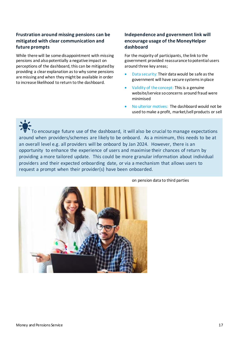### **Frustration around missing pensions can be mitigated with clear communication and future prompts**

While there will be some disappointment with missing pensions and also potentially a negative impact on perceptions of the dashboard, this can be mitigated by providing a clear explanation as to why some pensions are missing and when they might be available in order to increase likelihood to return to the dashboard.

### **Independence and government link will encourage usage of the MoneyHelper dashboard**

For the majority of participants, the link to the government provided reassurance to potential users around three key areas;

- Data security: Their data would be safe as the government will have secure systems in place
- Validity of the concept: This is a genuine website/service so concerns around fraud were minimised
- No ulterior motives: The dashboard would not be used to make a profit, market/sell products or sell

To encourage future use of the dashboard, it will also be crucial to manage expectations around when providers/schemes are likely to be onboard. As a minimum, this needs to be at an overall level e.g. all providers will be onboard by Jan 2024. However, there is an opportunity to enhance the experience of users and maximise their chances of return by providing a more tailored update. This could be more granular information about individual providers and their expected onboarding date, or via a mechanism that allows users to request a prompt when their provider(s) have been onboarded.



### on pension data to third parties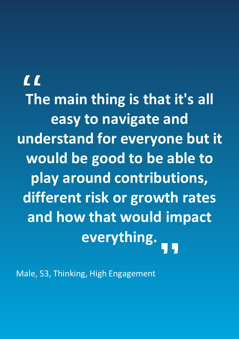**There is a strong chance the higher engaged The main thing is that it's all** Those who are highly engaged with their pensions are likely to be visiting their provider website and using **easy to navigate and** experience has been positive e.g. simple to navigate, undarctand to understand for everyone but it would not consider the MoneyHelper dashboard at all, and at all, and at all, and at all, and at all, and at all, and as would be p would be good to be able to **play around contributions, different risk or growth rates and how that would impact everything.**  $\begin{array}{c}\nC \\
T \\
T\n\end{array}$ "

Male, 53, Thinking, High Engagement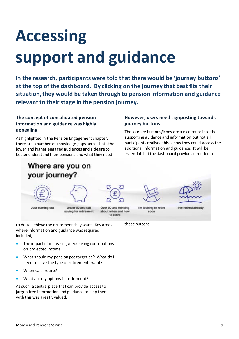# <span id="page-18-0"></span>**Accessing support and guidance**

**In the research, participants were told that there would be 'journey buttons' at the top of the dashboard. By clicking on the journey that best fits their situation, they would be taken through to pension information and guidance relevant to their stage in the pension journey.**

### **The concept of consolidated pension information and guidance was highly appealing**

As highlighted in the Pension Engagement chapter, there are a number of knowledge gaps across both the lower and higher engaged audiences and a desire to better understand their pensions and what they need

## Where are you on your journey?

### **However, users need signposting towards journey buttons**

The journey buttons/icons are a nice route into the supporting guidance and information but not all participants realised this is how they could access the additional information and guidance. It will be essential that the dashboard provides direction to





Just starting out

Under 50 and still saving for retirement



I'm looking to retire soon

these buttons.



I've retired already

to do to achieve the retirement they want. Key areas where information and guidance was required included;

- The impact of increasing/decreasing contributions on projected income
- What should my pension pot target be? What do I need to have the type of retirement I want?
- When can I retire?
- What are my options in retirement?

As such, a central place that can provide access to jargon-free information and guidance to help them with this was greatly valued.

Money and Pensions Service 2018 19:30 and the service 2019 19:30 and the service 2019 19:30 and the service 20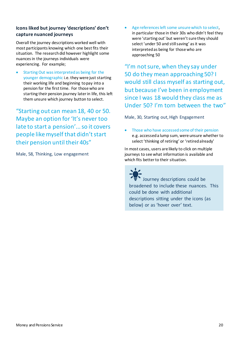### **Icons liked but journey 'descriptions' don't capture nuanced journeys**

Overall the journey descriptions worked well with most participants knowing which one best fits their situation. The research did however highlight some nuances in the journeys individuals were experiencing. For example;

Starting Out was interpreted as being for the younger demographic i.e. they were just starting their working life and beginning to pay into a pension for the first time. For those who are starting their pension journey later in life, this left them unsure which journey button to select.

"Starting out can mean 18, 40 or 50. Maybe an option for 'It's never too late to start a pension'... so it covers people like myself that didn't start their pension until their 40s"

Male, 58, Thinking, Low engagement

Age references left some unsure which to select, in particular those in their 30s who didn't feel they were 'starting out' but weren't sure they should select 'under 50 and still saving' as it was interpreted as being for those who are approaching 50

"I'm not sure, when they say under 50 do they mean approaching 50? I would still class myself as starting out, but because I've been in employment since I was 18 would they class me as Under 50? I'm torn between the two"

Male, 30, Starting out, High Engagement

• Those who have accessed some of their pension e.g. accessed a lump sum, were unsure whether to select 'thinking of retiring' or 'retired already'

In most cases, users are likely to click on multiple journeys to see what information is available and which fits better to their situation.

Journey descriptions could be broadened to include these nuances. This could be done with additional descriptions sitting under the icons (as below) or as 'hover over' text.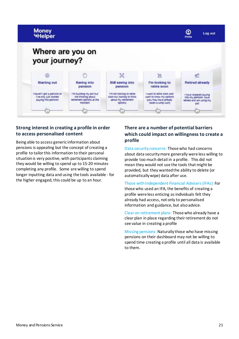

### **Strong interest in creating a profile in order to access personalised content**

Being able to access generic information about pensions is appealing but the concept of creating a profile to tailor this information to their personal situation is very positive, with participants claiming they would be willing to spend up to 15-20 minutes completing any profile. Some are willing to spend longer inputting data and using the tools available - for the higher engaged, this could be up to an hour.

### **There are a number of potential barriers which could impact on willingness to create a profile**

Data security concerns: Those who had concerns about data security more generally were less willing to provide too much detail in a profile. This did not mean they would not use the tools that might be provided, but they wanted the ability to delete (or automatically wipe) data after use.

Those with Independent Financial Advisers (IFAs): For those who used an IFA, the benefits of creating a profile were less enticing as individuals felt they already had access, not only to personalised information and guidance, but also advice.

Clear on retirement plans: Those who already have a clear plan in place regarding their retirement do not see value in creating a profile

Missing pensions: Naturally those who have missing pensions on their dashboard may not be willing to spend time creating a profile until all data is available to them.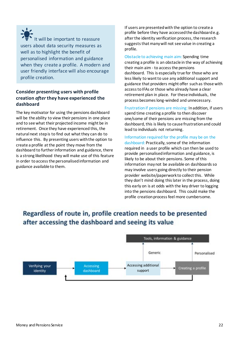It will be important to reassure users about data security measures as well as to highlight the benefit of personalised information and guidance when they create a profile. A modern and user friendly interface will also encourage profile creation.

### **Consider presenting users with profile creation** *after* **they have experienced the dashboard**

The key motivator for using the pensions dashboard will be the ability to view their pensions in one place and to see what their projected income might be in retirement. Once they have experienced this, the natural next step is to find out what they can do to influence this. By presenting users with the option to create a profile at the point they move from the dashboard to further information and guidance, there is a strong likelihood they will make use of this feature in order to access the personalisedinformation and guidance available to them.

If users are presented with the option to create a profile before they have accessed the dashboard e.g. after the identity verification process, the research suggests that many will not see value in creating a profile.

Obstacle to achieving main aim: Spending time creating a profile is an obstacle in the way of achieving their main aim - to access the pensions dashboard. This is especially true for those who are less likely to want to use any additional support and guidance that providers might offer such as those with access to IFAs or those who already have a clear retirement plan in place. For these individuals, the process becomes long-winded and unnecessary.

Frustration if pensions are missing: In addition, if users spend time creating a profile to then discover one/some of their pensions are missing from the dashboard, this is likely to cause frustration and could lead to individuals not returning.

Information required for the profile may be on the dashboard: Practically, some of the information required in a user profile which can then be used to provide personalised information and guidance, is likely to be about their pensions. Some of this information maynot be available on dashboards so may involve users going directly to their pension provider website/paperwork to collect this. While they don't mind doing this later in the process, doing this early on is at odds with the key driver to logging into the pensions dashboard. This could make the profile creation process feel more cumbersome.

## Regardless of route in, profile creation needs to be presented after accessing the dashboard and seeing its value

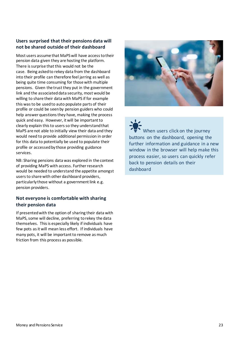### **Users surprised that their pensions data will not be shared outside of their dashboard**

Most users assume that MaPS will have access to their pension data given they are hosting the platform. There is surprise that this would not be the case. Being asked to rekey data from the dashboard into their profile can therefore feel jarring as well as being quite time consuming for those with multiple pensions. Given the trust they put in the government link and the associated data security, most would be willing to share their data with MaPS if for example this was to be used to auto populate parts of their profile or could be seen by pension guiders who could help answer questions they have, making the process quick and easy. However, it will be important to clearly explain this to users so they understand that MaPS are not able to initially view their data and they would need to provide additional permission in order for this data to potentially be used to populate their profile or accessed by those providing guidance services.

NB: Sharing pensions data was explored in the context of providing MaPS with access. Further research would be needed to understand the appetite amongst users to share with other dashboard providers, particularly those without a government link e.g. pension providers.

### **Not everyone is comfortable with sharing their pension data**

If presented with the option of sharing their data with MaPS, some will decline, preferring to rekey the data themselves. This is especially likely if individuals have few pots as it will mean less effort. If individuals have many pots, it will be important to remove as much friction from this process as possible.



When users click on the journey buttons on the dashboard, opening the further information and guidance in a new window in the browser will help make this process easier, so users can quickly refer back to pension details on their dashboard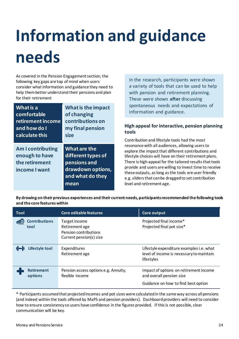# <span id="page-23-0"></span>**Information and guidance needs**

As covered in the Pension Engagement section, the following key gaps are top of mind when users consider what information and guidance they need to help them better understand their pensions and plan for their retirement

| What is a                                                                     | What is the impact                                                                                  |
|-------------------------------------------------------------------------------|-----------------------------------------------------------------------------------------------------|
| comfortable                                                                   | of changing                                                                                         |
| retirement income                                                             | contributions on                                                                                    |
| and how do I                                                                  | my final pension                                                                                    |
| calculate this                                                                | size                                                                                                |
| <b>Am I contributing</b><br>enough to have<br>the retirement<br>income I want | What are the<br>different types of<br>pensions and<br>drawdown options,<br>and what do they<br>mean |

In the research, participants were shown a variety of tools that can be used to help with pension and retirement planning. These were shown **after** discussing spontaneous needs and expectations of information and guidance.

### **High appeal for interactive, pension planning tools**

Contribution and lifestyle tools had the most resonance with all audiences, allowing users to explore the impact that different contributions and lifestyle choices will have on their retirement plans. There is high appeal for the tailored results that tools provide and users are willing to invest time to receive these outputs, as long as the tools are user friendly e.g. sliders that can be dragged to set contribution level and retirement age.

**By drawing on their previous experiences and their current needs, participants recommended the following tools and the core features within**

| Tool                         | Core editable features                                                              | Core output                                                                                               |
|------------------------------|-------------------------------------------------------------------------------------|-----------------------------------------------------------------------------------------------------------|
| <b>Contributions</b><br>tool | Target income<br>Retirement age<br>Pension contributions<br>Current pension(s) size | Projected final income*<br>Projected final pot size*                                                      |
| Lifestyle tool               | Expenditures<br>Retirement age                                                      | Lifestyle expenditure examples i.e. what<br>level of income is necessary to maintain<br>lifestyles        |
| <b>Retirement</b><br>options | Pension access options e.g. Annuity,<br>flexible income                             | Impact of options on retirement income<br>and overall pension size<br>Guidance on how to find best option |

\* Participants assumed that projected incomes and pot sizes were calculated in the same way across all pensions (and indeed within the tools offered by MaPS and pension providers). Dashboard providers will need to consider how to ensure consistency so users have confidence in the figures provided. If this is not possible, clear communication will be key.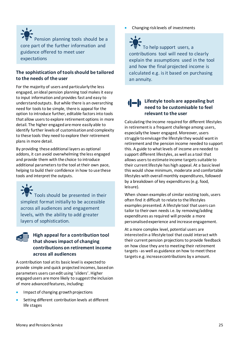Pension planning tools should be a core part of the further information and guidance offered to meet user expectations

### **The sophistication of tools should be tailored to the needs of the user**

For the majority of users and particularly the less engaged, an ideal pension planning tool makes it easy to input information and provides fast and easy to understand outputs. But while there is an overarching need for tools to be simple, there is appeal for the option to introduce further, editable factors into tools that allow users to explore retirement options in more detail. The higher engaged are more easily able to identify further levels of customisation and complexity to these tools they need to explore their retirement plans in more detail.

By providing these additional layers as optional addons, it can avoid overwhelming the less engaged and provide them with the choice to introduce additional parameters to the tool at their own pace, helping to build their confidence in how to use these tools and interpret the outputs.

Tools should be presented in their simplest format initially to be accessible across all audiences and engagement levels, with the ability to add greater layers of sophistication.



### **High appeal for a contribution tool that shows impact of changing contributions on retirement income across all audiences**

A contribution tool at its basic level is expected to provide simple and quick projected incomes, based on parameters users can edit using 'sliders'. Higher engaged users are more likely to suggest the inclusion of more advanced features, including:

- Impact of changing growth projections
- Setting different contribution levels at different life stages

• Changing risk levels of investments

To help support users, a contributions tool will need to clearly explain the assumptions used in the tool and how the final projected income is calculated e.g. is it based on purchasing an annuity.

### **Lifestyle tools are appealing but need to be customisable to feel relevant to the user**

Calculating the income required for different lifestyles in retirement is a frequent challenge among users, especially the lower engaged. Moreover, users struggle to envisage the lifestyle they would want in retirement and the pension income needed to support this. A guide to what levels of income are needed to support different lifestyles, as well as a tool that allows users to estimate income targets suitable to their current lifestyle has high appeal. At a basic level this would show minimum, moderate and comfortable lifestyles with overall monthly expenditures, followed by a breakdown of key expenditures (e.g. food, leisure).

When shown examples of similar existing tools, users often find it difficult to relate to the lifestyles examples presented. A lifestyle tool that users can tailor to their own needs i.e. by removing/adding expenditures as required will provide a more personalised experience and increase engagement.

At a more complex level, potential users are interested in a lifestyle tool that could interact with their current pension projections to provide feedback on how close they are to meeting their retirement targets - as well as guidance on how to meet these targets e.g. increase contributions by x amount.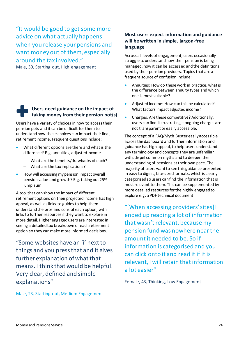"It would be good to get some more advice on what actually happens when you release your pensions and want money out of them, especially around the tax involved."

Male, 30, Starting out, High engagement

### **Users need guidance on the impact of taking money from their pension pot(s)**

Users have a variety of choices in how to access their pension pots and it can be difficult for them to understand how these choices can impact their final, retirement income**.** Frequent questions include:

- What different options are there and what is the difference? E.g. annuities, adjusted income
	- − What are the benefits/drawbacks of each?
	- − What are the tax implications?
- How will accessing my pension impact overall pension value and growth? E.g. taking out 25% lump sum

A tool that can show the impact of different retirement options on their projected income has high appeal, as well as links to guides to help them understand the pros and cons of each option, with links to further resources if they want to explore in more detail. Higher engaged users are interested in seeing a detailed tax breakdown of each retirement option so they can make more informed decisions.

"Some websites have an 'i' next to things and you press that and it gives further explanation of what that means. I think that would be helpful. Very clear, defined and simple explanations"

Male, 23, Starting out, Medium Engagement

### **Most users expect information and guidance will be written in simple, jargon-free language**

Across all levels of engagement, users occasionally struggle to understand how their pension is being managed, how it can be accessed and the definitions used by their pension providers. Topics that are a frequent source of confusion include:

- Annuities: How do these work in practice, what is the difference between annuity types and which one is most suitable?
- Adjusted income: How can this be calculated? What factors impact adjusted income?
- Charges: Are these competitive? Additionally, users can find it frustrating if ongoing charges are not transparent or easily accessible.

The concept of a FAQ/Myth Buster easily accessible across the dashboard and further information and guidance has high appeal, to help users understand any terminology and concepts they are unfamiliar with, dispel common myths and to deepen their understanding of pensions at their own pace. The majority of users want to see this guidance presented in easy to digest, bite-sized formats, which is clearly categorised so users can find the information that is most relevant to them. This can be supplemented by more detailed resources for the highly engaged to explore e.g. a PDF technical document

"[When accessing providers' sites] I ended up reading a lot of information that wasn't relevant, because my pension fund was nowhere near the amount it needed to be. So if information is categorised and you can click onto it and read it if it is relevant, I will retain that information a lot easier"

Female, 43, Thinking, Low Engagement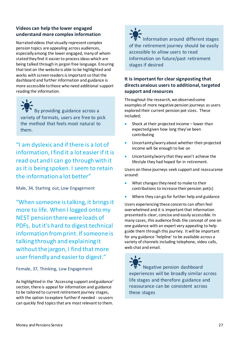### **Videos can help the lower engaged understand more complex information**

Narrated videos that visually represent complex pension topics are appealing across audiences, especially among the lower engaged, many of whom stated they find it easier to process ideas which are being talked through in jargon free language. Ensuring that text on the website is able to be highlighted and works with screen readers is important so that the dashboard and further information and guidance is more accessible to those who need additional support reading the information.

By providing guidance across a variety of formats, users are free to pick the method that feels most natural to them.

"I am dyslexic and if there is a lot of information, I find it a lot easier if it is read out and I can go through with it as it is being spoken. I seem to retain the information a lot better"

Male, 34, Starting out, Low Engagement

"When someone is talking, it brings it more to life. When I logged onto my NEST pension there were loads of PDFs, but it's hard to digest technical information from print. If someone is talking through and explaining it without the jargon, I find that more user friendly and easier to digest."

Female, 37, Thinking, Low Engagement

As highlighted in the 'Accessing support and guidance' section, there is appeal for information and guidance to be tailored to current retirement journey stages, with the option to explore further if needed - sousers can quickly find topics that are most relevant to them.



Information around different stages of the retirement journey should be easily accessible to allow users to read information on future/past retirement stages if desired

### **It is important for clear signposting that directs anxious users to additional, targeted support and resources**

Throughout the research, we observed some examples of more negative pension journeys as users explored their current pension pot sizes. These included;

- Shock at their projected income lower than expected given how long they've been contributing
- Uncertainty/worry about whether their projected income will be enough to live on
- Uncertainty/worry that they won't achieve the lifestyle they had hoped for in retirement.

Users on these journeys seek support and reassurance around:

- What changes they need to make to their contributions to increase their pension pot(s)
- Where they can go for further help and guidance

Users experiencing these concerns can often feel overwhelmed and it is important that information presented is clear, concise and easily accessible. In many cases, this audience finds the concept of one on one guidance with an expert very appealing to help guide them through this journey. It will be important for any guidance 'helpline' to be available across a variety of channels including telephone, video calls, web chat and email.

 Negative pension dashboard experiences will be broadly similar across life stages and therefore guidance and reassurance can be consistent across these stages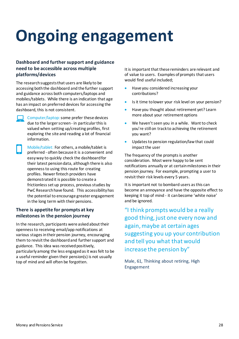# <span id="page-27-0"></span>**Ongoing engagement**

### **Dashboard and further support and guidance need to be accessible across multiple platforms/devices**

The research suggests that users are likely to be accessing both the dashboard and the further support and guidance across both computers/laptops and mobiles/tablets. While there is an indication that age has an impact on preferred devices for accessing the dashboard, this is not consistent.

Computer/laptop: some prefer these devices due to the larger screen - in particular this is valued when setting up/creating profiles, first exploring the site and reading a lot of financial information.

Mobile/tablet: For others, a mobile/tablet is preferred - often because it is a convenient and easy way to quickly check the dashboard for their latest pension data, although there is also openness to using this route for creating profiles. Newer fintech providers have demonstrated it is possible to create a frictionless set up process, previous studies by PwC Research have found. This accessibility has the potential to encourage greater engagement in the long term with their pensions.

### **There is appetite for prompts at key milestones in the pension journey**

In the research, participants were asked about their openness to receiving email/app notifications at various stages in their pension journey, encouraging them to revisit the dashboard and further support and guidance. This idea was received positively, particularly among the less engaged as it was felt to be a useful reminder given their pension(s) is not usually top of mind and will often be forgotten.

It is important that these reminders are relevant and of value to users. Examples of prompts that users would find useful included;

- Have you considered increasing your contributions?
- Is it time to lower your risk level on your pension?
- Have you thought about retirement yet? Learn more about your retirement options
- We haven't seen you in a while. Want to check you're still on track to achieving the retirement you want?
- Updates to pension regulation/law that could impact the user

The frequency of the prompts is another consideration. Most were happy to be sent notifications annually or at certain milestones in their pension journey. For example, prompting a user to revisit their risk levels every 5 years.

It is important not to bombard users as this can become an annoyance and have the opposite effect to keeping it top of mind - it can become 'white noise' and be ignored.

"I think prompts would be a really good thing, just one every now and again, maybe at certain ages suggesting you up your contribution and tell you what that would increase the pension by"

Male, 61, Thinking about retiring, High Engagement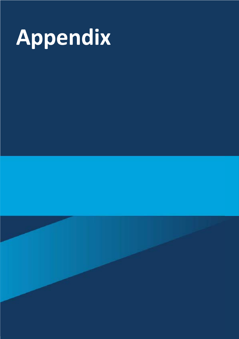

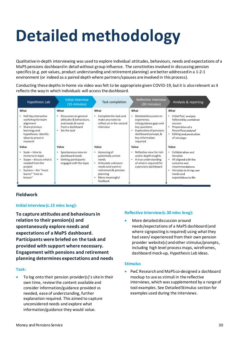# **Detailed methodology**

Qualitative in-depth interviewing was used to explore individual attitudes, behaviours, needs and expectations of a MaPS pensions dashboard in detail without group influence. The sensitivities involved in discussing pension specifics (e.g. pot values, product understanding and retirement planning) are better addressed in a 1-2-1 environment (or indeed as a paired depth where partners/spouses are involved in this process).

Conducting these depths in-home via video was felt to be appropriate given COVID-19, but it is also relevant as it reflects the way in which individuals will access the dashboard.

| <b>Hypothesis Lab</b>                                                                                                                                         | Initial interview<br>(15 minutes)                                                                                | Task completion                                                                                                                                                     | Reflective interview<br>(30 minutes)                                                                                                                                            | Analysis & reporting                                                                                                                                           |
|---------------------------------------------------------------------------------------------------------------------------------------------------------------|------------------------------------------------------------------------------------------------------------------|---------------------------------------------------------------------------------------------------------------------------------------------------------------------|---------------------------------------------------------------------------------------------------------------------------------------------------------------------------------|----------------------------------------------------------------------------------------------------------------------------------------------------------------|
| What                                                                                                                                                          | What                                                                                                             | What                                                                                                                                                                | What                                                                                                                                                                            | What                                                                                                                                                           |
| Half day interactive<br>٠<br>workshop for team<br>alignment<br>×.<br>Share previous<br>learnings and<br>hypotheses, identify<br>ideas to prove in<br>research | Discussion on general<br>٠<br>attitudes & behaviours,<br>and needs & wants<br>from a dashboard<br>· Set the task | Complete the task and<br>make any notes to<br>reflect on in the second<br>interview                                                                                 | Detailed discussion re:<br>٠<br>experience,<br>info/guidance gaps and<br>key questions.<br>Exploration of pensions<br>٠<br>dashboard concept, &<br>key information<br>required. | Initial PwC analysis<br>followed by combined<br>session<br>Preparation of a<br>PowerPoint debrief<br>Editing and production<br>of yox pops                     |
| Value                                                                                                                                                         | Value                                                                                                            | Value                                                                                                                                                               | Value                                                                                                                                                                           | Value                                                                                                                                                          |
| Scale - time to<br>۰<br>immerse in topic<br>Scope - discuss what is<br>٠<br>needed from the<br>project<br>Success - the "must<br>learns" "nice to<br>knows"   | · Spontaneous view on<br>dashboard needs<br>Getting participants<br>engaged with the topic.                      | Accessing of<br>٠<br>potentially unmet.<br>needs<br>Articulate unknown<br>٠<br>needs and wantre:<br>retirement & pension<br>planning<br>More meaningful<br>feedback | Reflective view for rich<br>٠<br>and in-depth insights.<br>A true understanding<br>٠<br>of what is required for<br>a pensions dashboard                                         | Collaboration and<br>iberation<br>All aligned with the<br>outcome and<br>recommendations<br><b>Wax pops to bring user</b><br>meeds and<br>expectations to life |

### **Fieldwork**

### **Initial interview (c.15 mins long):**

**To capture attitudes and behaviours in relation to their pension(s) and spontaneously explore needs and expectations of a MaPS dashboard. Participants were briefed on the task and provided with support where necessary. Engagement with pensions and retirement planning determines expectations and needs**

### **Task:**

To log onto their pension provider(s)'s site in their own time, review the content available and consider information/guidance provided vs needed, ease of understanding, further explanation required. This aimed to capture unconsidered needs and explore what information/guidance they would value.

### **Reflective interview (c.30 mins long):**

• More detailed discussion around needs/expectations of a MaPS dashboard (and where signposting is required) using what they had seen/ experienced from their own pension provider website(s) and other stimulus/prompts, including high level process maps, wireframes, dashboard mock-up, Hypothesis Lab ideas.

### **Stimulus**

• PwC Research and MaPS co-designed a dashboard mockup to use as stimuli in the reflective interviews, which was supplemented by a range of tool examples. See Detailed Stimulus section for examples used during the interviews.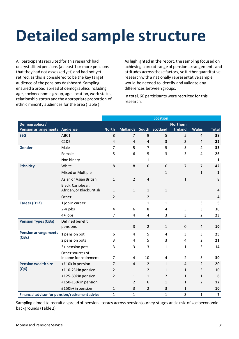## <span id="page-30-0"></span>**Detailed sample structure**

All participants recruited for this research had uncrystallised pensions (at least 1 or more pensions that they had not assessed yet) and had not yet retired, as this is considered to be the key target audience of the pensions dashboard. Sampling ensured a broad spread of demographics including age, socioeconomic group, age, location, work status, relationship status and the appropriate proportion of ethnic minority audiences for the area (Table )

As highlighted in the report, the sampling focused on achieving a broad range of pension arrangements and attitudes across these factors, so further quantitative research with a nationally representative sample would be needed to identify and validate any differences between groups.

In total, 60 participants were recruited for this research.

|                               |                                                 |                |                 |                | <b>Location</b> |                 |                |                         |
|-------------------------------|-------------------------------------------------|----------------|-----------------|----------------|-----------------|-----------------|----------------|-------------------------|
| Demographics/                 |                                                 |                |                 |                |                 | <b>Northern</b> |                |                         |
| Pension arrangements Audience |                                                 | <b>North</b>   | <b>Midlands</b> |                | South Scotland  | <b>Ireland</b>  | <b>Wales</b>   | <b>Total</b>            |
| <b>SEG</b>                    | ABC1                                            | 8              | 7               | 9              | 5               | 5               | 4              | 38                      |
|                               | C <sub>2</sub> DE                               | $\overline{4}$ | 4               | 4              | 3               | 3               | $\overline{4}$ | 22                      |
| Gender                        | Male                                            | $\overline{7}$ | 5               | $\overline{7}$ | 5               | 5               | $\overline{4}$ | 33                      |
|                               | Female                                          | 5              | 6               | 5              | 3               | 3               | 4              | 26                      |
|                               | Non binary                                      |                |                 | 1              |                 |                 |                | $\mathbf{1}$            |
| <b>Ethnicity</b>              | White                                           | 8              | 8               | 6              | 6               | $\overline{7}$  | $\overline{7}$ | 42                      |
|                               | Mixed or Multiple                               |                |                 |                | 1               |                 | 1              | $\overline{2}$          |
|                               | Asian or Asian British                          | $\mathbf{1}$   | $\overline{2}$  | $\overline{4}$ |                 | $\mathbf{1}$    |                | 8                       |
|                               | Black, Caribbean,<br>African, or Black British  | $\mathbf{1}$   | $\mathbf{1}$    | 1              | $\mathbf{1}$    |                 |                | $\overline{4}$          |
|                               | Other                                           | $\overline{2}$ |                 | $\overline{2}$ |                 |                 |                | 4                       |
| Career (D12)                  | 1 job in career                                 |                |                 | $\mathbf{1}$   | $\mathbf{1}$    |                 | 3              | 5                       |
|                               | 2-4 jobs                                        | $\pmb{4}$      | 6               | 8              | 4               | 5               | 3              | 30                      |
|                               | $4+$ jobs                                       | $\overline{7}$ | 4               | 4              | 3               | 3               | $\overline{2}$ | 23                      |
| <b>Pension Types (Q3a)</b>    | Defined benefit<br>pensions                     |                | 3               | $\overline{2}$ | 1               | 0               | $\overline{4}$ | 10                      |
| <b>Pension arrangements</b>   | 1 pension pot                                   | 6              | 4               | 5              | 4               | 3               | 3              | 25                      |
| (Q3c)                         | 2 pension pots                                  | 3              | 4               | 5              | 3               | 4               | $\overline{2}$ | 21                      |
|                               | 3+ pension pots                                 | 3              | 3               | 3              | 1               | $\mathbf{1}$    | 3              | 14                      |
|                               | Other sources of<br>income for retirement       | $\overline{7}$ | 4               | 10             | 4               | $\overline{2}$  | 3              | 30                      |
| <b>Pension wealth size</b>    | <£10k in pension                                | $\overline{7}$ | 4               | 2              | $\mathbf{1}$    | $\overline{4}$  | $\overline{2}$ | 20                      |
| (Q4)                          | <£10-25kin pension                              | $\overline{2}$ | 1               | $\overline{2}$ | 1               | 1               | 3              | 10                      |
|                               | <£25-50kin pension                              | $\overline{2}$ | 1               | 1              | $\overline{2}$  | $\mathbf{1}$    | $\mathbf{1}$   | 8                       |
|                               | <£50-150k in pension                            |                | $\overline{2}$  | 6              | $\mathbf{1}$    | 1               | $\overline{2}$ | 12                      |
|                               | £150k+in pension                                | $\mathbf{1}$   | 3               | $\overline{2}$ | 3               | 1               |                | 10                      |
|                               | Financial advisor for pension/retirement advice | $\mathbf{1}$   | $\mathbf{1}$    |                | $\mathbf{1}$    | 3               | $\mathbf{1}$   | $\overline{\mathbf{z}}$ |

Sampling aimed to recruit a spread of pension literacy across pension journey stages and a mix of socioeconomic backgrounds (Table 2)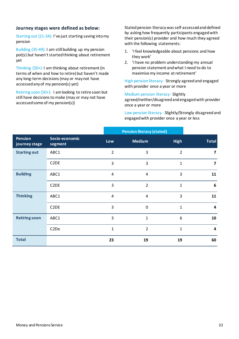### **Journey stages were defined as below:**

Starting out (21-34): I've just starting saving into my pension

Building (35-49): I am still building up my pension pot(s) but haven't started thinking about retirement yet

Thinking (50+): I am thinking about retirement (in terms of when and how to retire) but haven't made any long-term decisions (may or may not have accessed any of my pension(s) yet)

Retiring soon (50+): I am looking to retire soon but still have decisions to make (may or may not have accessed some of my pension(s))

Stated pension literacy was self-assessed and defined by asking how frequently participants engaged with their pension(s) provider and how much they agreed with the following statements:

- 1. 'I feel knowledgeable about pensions and how they work'
- 2. 'I have no problem understanding my annual pension statement and what I need to do to maximise my income at retirement'

High pension literacy - Strongly agreed and engaged with provider once a year or more

Medium pension literacy - Slightly

agreed/neither/disagreed and engaged with provider once a year or more

Low pension literacy - Slightly/Strongly disagreed and engaged with provider once a year or less

|                                 |                           |                | <b>Pension literacy (stated)</b> |                |                         |
|---------------------------------|---------------------------|----------------|----------------------------------|----------------|-------------------------|
| <b>Pension</b><br>journey stage | Socio-economic<br>segment | Low            | <b>Medium</b>                    | <b>High</b>    | <b>Total</b>            |
| <b>Starting out</b>             | ABC1                      | $\overline{2}$ | 3                                | $\overline{2}$ | 7                       |
|                                 | C <sub>2</sub> DE         | 3              | 3                                | $\mathbf{1}$   | $\overline{\mathbf{z}}$ |
| <b>Building</b>                 | ABC1                      | 4              | 4                                | 3              | 11                      |
|                                 | C <sub>2</sub> DE         | 3              | $\overline{2}$                   | $\mathbf{1}$   | 6                       |
| <b>Thinking</b>                 | ABC1                      | 4              | 4                                | 3              | 11                      |
|                                 | C <sub>2</sub> DE         | 3              | $\Omega$                         | $\mathbf{1}$   | 4                       |
| <b>Retiring soon</b>            | ABC1                      | 3              | 1                                | 6              | 10                      |
|                                 | C <sub>2</sub> De         | $\mathbf{1}$   | $\overline{2}$                   | $\mathbf{1}$   | 4                       |
| <b>Total</b>                    |                           | 23             | 19                               | 19             | 60                      |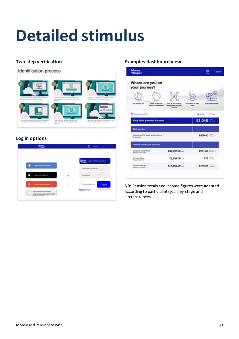# **Detailed stimulus**

### **Two step verification**

Identification process



### **Log in options**



### **Examples dashboard view**

| Where are you on<br>your journey?                                                        |                                                               |                                                             |
|------------------------------------------------------------------------------------------|---------------------------------------------------------------|-------------------------------------------------------------|
|                                                                                          | ¤                                                             |                                                             |
| Just starting out<br><b>Gholer 95 and still</b><br>starting for Indirectional<br>,,,,,,, | <b>Over NI and thinking</b><br>Mond when end how<br>to rating | I'm looking to relea.<br>Fue retired at uses<br><b>MONA</b> |
| <b>Broadwall lets at PM</b>                                                              |                                                               | Otters<br><b>B</b> Months                                   |
| Your total pension income                                                                |                                                               | $£1,048 = -$                                                |
| <b><i><u>State perceive</u></i></b>                                                      |                                                               |                                                             |
| Department for exirk and persions.<br><b>Note constitute</b>                             |                                                               | £676.80                                                     |
| Defined contribution permises                                                            |                                                               |                                                             |
| Genevusi suit Limited<br>Police AVISTO TENS                                              | $$39,797.00 -$                                                | £281.00                                                     |
| Dunclee Toys<br><b>Rokey (KLITIMFILE)</b>                                                | $$2,534.00$                                                   | $578 -$                                                     |
|                                                                                          |                                                               |                                                             |

**NB:** Pension totals and income figures were adapted according to participants journey stage and circumstances